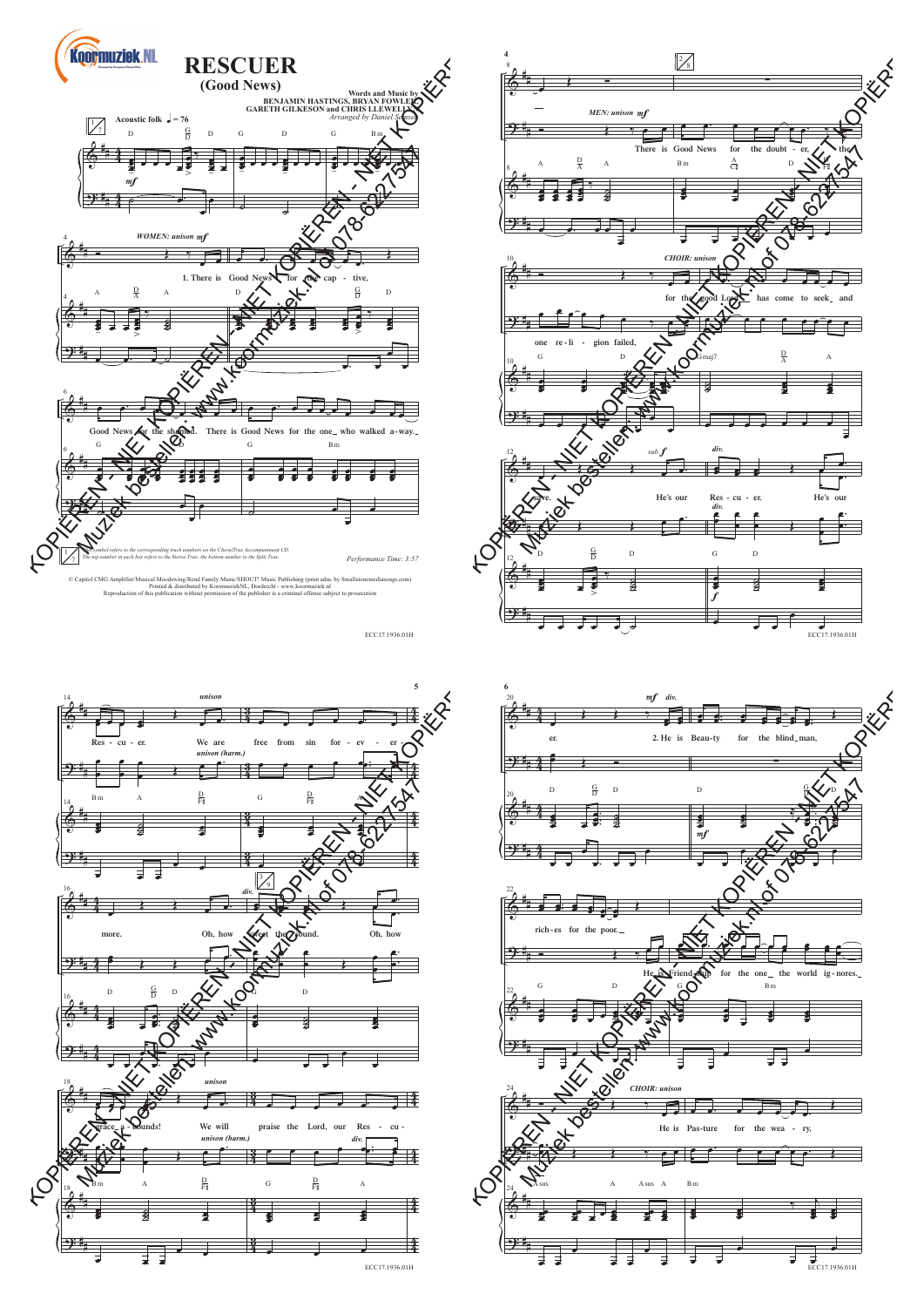



ECC17.1936.01H

**5**





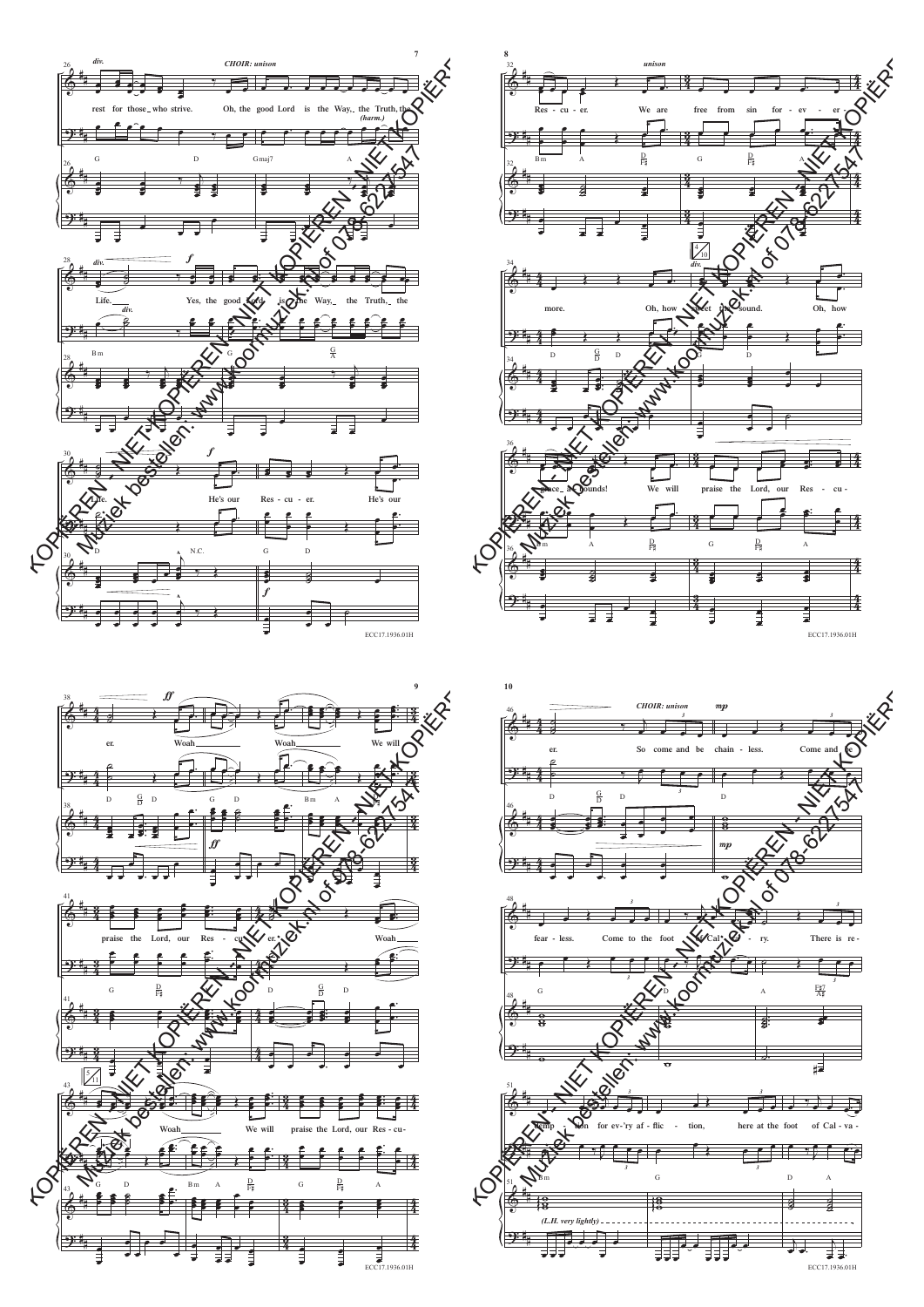